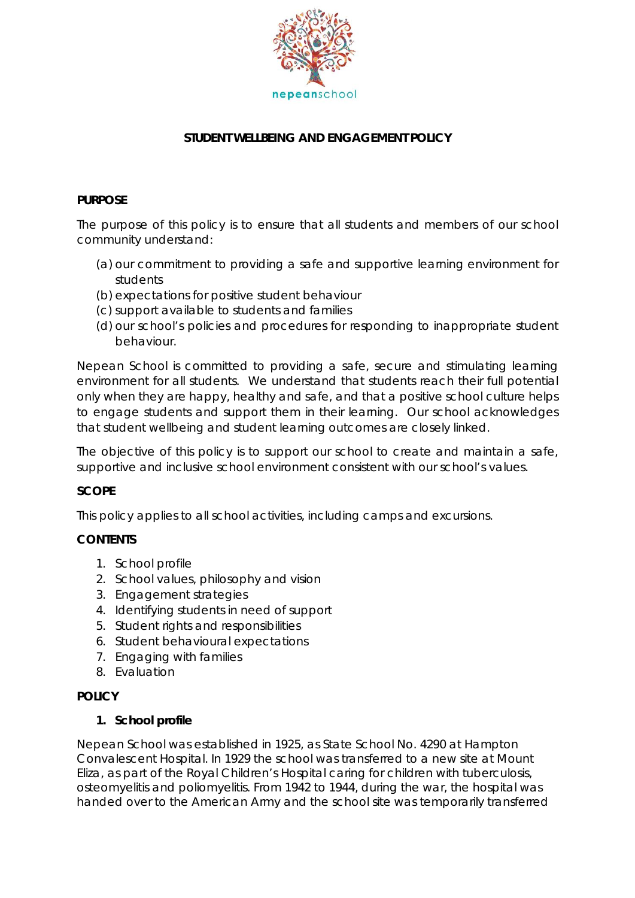

# **STUDENT WELLBEING AND ENGAGEMENT POLICY**

## **PURPOSE**

The purpose of this policy is to ensure that all students and members of our school community understand:

- (a) our commitment to providing a safe and supportive learning environment for students
- (b) expectations for positive student behaviour
- (c) support available to students and families
- (d) our school's policies and procedures for responding to inappropriate student behaviour.

Nepean School is committed to providing a safe, secure and stimulating learning environment for all students. We understand that students reach their full potential only when they are happy, healthy and safe, and that a positive school culture helps to engage students and support them in their learning. Our school acknowledges that student wellbeing and student learning outcomes are closely linked.

The objective of this policy is to support our school to create and maintain a safe, supportive and inclusive school environment consistent with our school's values.

## **SCOPE**

This policy applies to all school activities, including camps and excursions.

## **CONTENTS**

- 1. School profile
- 2. School values, philosophy and vision
- 3. Engagement strategies
- 4. Identifying students in need of support
- 5. Student rights and responsibilities
- 6. Student behavioural expectations
- 7. Engaging with families
- 8. Evaluation

## **POLICY**

## **1. School profile**

Nepean School was established in 1925, as State School No. 4290 at Hampton Convalescent Hospital. In 1929 the school was transferred to a new site at Mount Eliza, as part of the Royal Children's Hospital caring for children with tuberculosis, osteomyelitis and poliomyelitis. From 1942 to 1944, during the war, the hospital was handed over to the American Army and the school site was temporarily transferred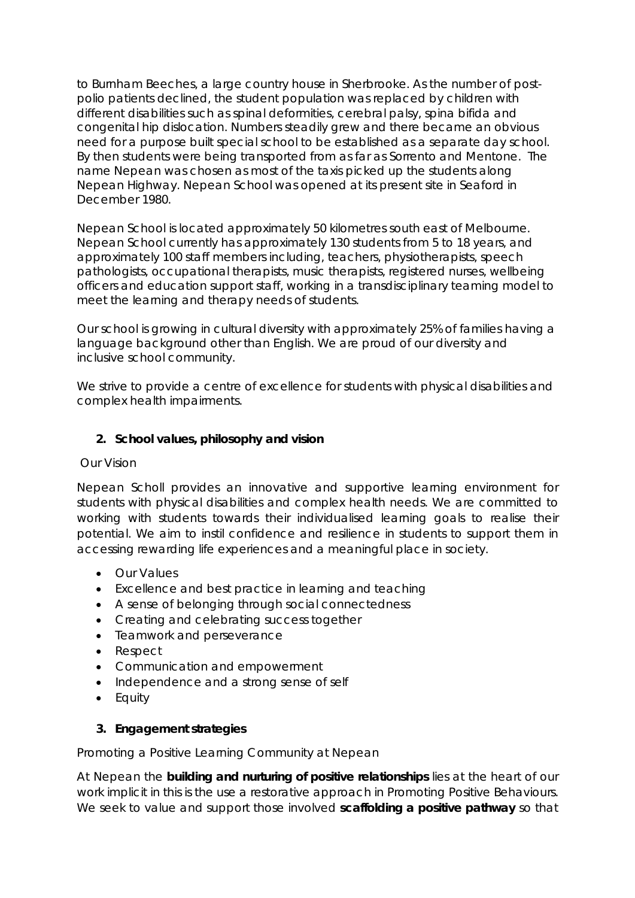to Burnham Beeches, a large country house in Sherbrooke. As the number of postpolio patients declined, the student population was replaced by children with different disabilities such as spinal deformities, cerebral palsy, spina bifida and congenital hip dislocation. Numbers steadily grew and there became an obvious need for a purpose built special school to be established as a separate day school. By then students were being transported from as far as Sorrento and Mentone. The name Nepean was chosen as most of the taxis picked up the students along Nepean Highway. Nepean School was opened at its present site in Seaford in December 1980.

Nepean School is located approximately 50 kilometres south east of Melbourne. Nepean School currently has approximately 130 students from 5 to 18 years, and approximately 100 staff members including, teachers, physiotherapists, speech pathologists, occupational therapists, music therapists, registered nurses, wellbeing officers and education support staff, working in a transdisciplinary teaming model to meet the learning and therapy needs of students.

Our school is growing in cultural diversity with approximately 25% of families having a language background other than English. We are proud of our diversity and inclusive school community.

We strive to provide a centre of excellence for students with physical disabilities and complex health impairments.

## **2. School values, philosophy and vision**

#### Our Vision

Nepean Scholl provides an innovative and supportive learning environment for students with physical disabilities and complex health needs. We are committed to working with students towards their individualised learning goals to realise their potential. We aim to instil confidence and resilience in students to support them in accessing rewarding life experiences and a meaningful place in society.

- Our Values
- Excellence and best practice in learning and teaching
- A sense of belonging through social connectedness
- Creating and celebrating success together
- Teamwork and perseverance
- Respect
- Communication and empowerment
- Independence and a strong sense of self
- Equity

## **3. Engagement strategies**

Promoting a Positive Learning Community at Nepean

At Nepean the **building and nurturing of positive relationships** lies at the heart of our work implicit in this is the use a restorative approach in Promoting Positive Behaviours. We seek to value and support those involved **scaffolding a positive pathway** so that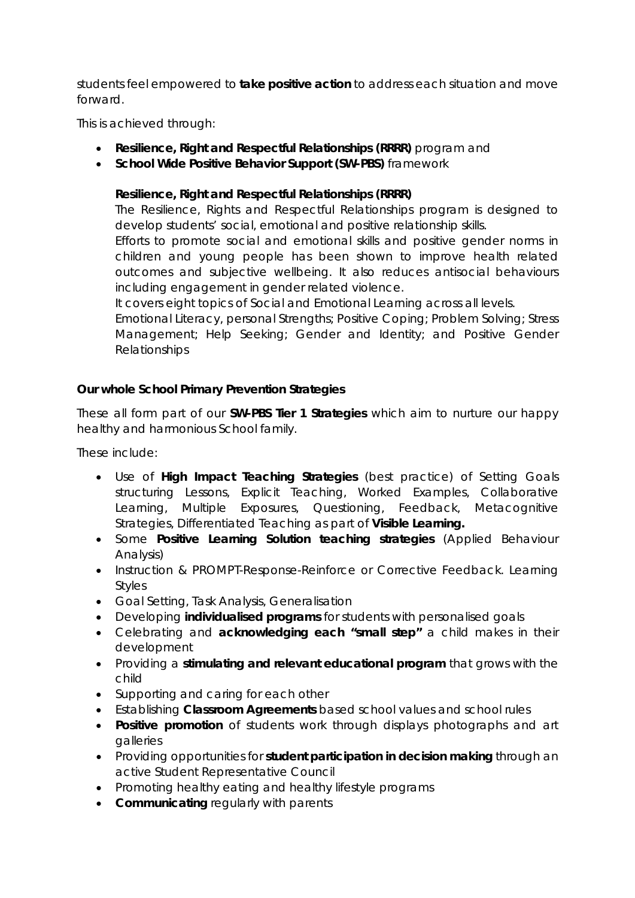students feel empowered to **take positive action** to address each situation and move forward.

This is achieved through:

- **Resilience, Right and Respectful Relationships (RRRR)** program and
- **School Wide Positive Behavior Support (SW-PBS)** framework

## **Resilience, Right and Respectful Relationships (RRRR)**

The Resilience, Rights and Respectful Relationships program is designed to develop students' social, emotional and positive relationship skills.

Efforts to promote social and emotional skills and positive gender norms in children and young people has been shown to improve health related outcomes and subjective wellbeing. It also reduces antisocial behaviours including engagement in gender related violence.

It covers eight topics of Social and Emotional Learning across all levels.

Emotional Literacy, personal Strengths; Positive Coping; Problem Solving; Stress Management; Help Seeking; Gender and Identity; and Positive Gender Relationships

## **Our whole School Primary Prevention Strategies**

These all form part of our **SW-PBS Tier 1 Strategies** which aim to nurture our happy healthy and harmonious School family.

These include:

- Use of **High Impact Teaching Strategies** (best practice) of Setting Goals structuring Lessons, Explicit Teaching, Worked Examples, Collaborative Learning, Multiple Exposures, Questioning, Feedback, Metacognitive Strategies, Differentiated Teaching as part of **Visible Learning.**
- Some **Positive Learning Solution teaching strategies** (Applied Behaviour Analysis)
- Instruction & PROMPT-Response-Reinforce or Corrective Feedback. Learning Styles
- Goal Setting, Task Analysis, Generalisation
- Developing **individualised programs** for students with personalised goals
- Celebrating and **acknowledging each "small step"** a child makes in their development
- Providing a **stimulating and relevant educational program** that grows with the child
- Supporting and caring for each other
- Establishing **Classroom Agreements** based school values and school rules
- **Positive promotion** of students work through displays photographs and art galleries
- Providing opportunities for **student participation in decision making** through an active Student Representative Council
- Promoting healthy eating and healthy lifestyle programs
- **Communicating** regularly with parents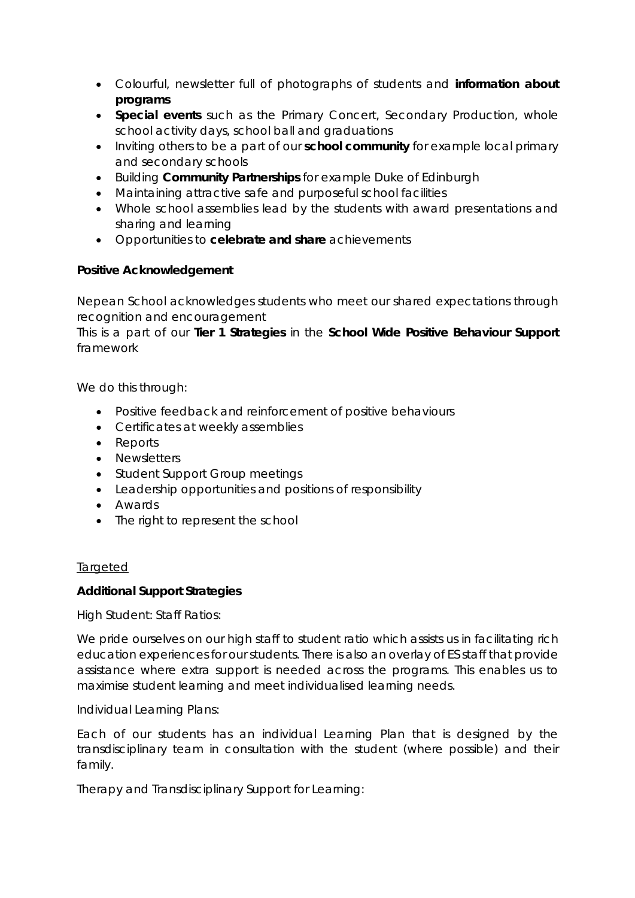- Colourful, newsletter full of photographs of students and **information about programs**
- **Special events** such as the Primary Concert, Secondary Production, whole school activity days, school ball and graduations
- Inviting others to be a part of our **school community** for example local primary and secondary schools
- Building **Community Partnerships** for example Duke of Edinburgh
- Maintaining attractive safe and purposeful school facilities
- Whole school assemblies lead by the students with award presentations and sharing and learning
- Opportunities to **celebrate and share** achievements

## **Positive Acknowledgement**

Nepean School acknowledges students who meet our shared expectations through recognition and encouragement

This is a part of our **Tier 1 Strategies** in the **School Wide Positive Behaviour Support** framework

We do this through:

- Positive feedback and reinforcement of positive behaviours
- Certificates at weekly assemblies
- Reports
- Newsletters
- Student Support Group meetings
- Leadership opportunities and positions of responsibility
- Awards
- The right to represent the school

#### *Targeted*

## **Additional Support Strategies**

High Student: Staff Ratios:

We pride ourselves on our high staff to student ratio which assists us in facilitating rich education experiences for our students. There is also an overlay of ES staff that provide assistance where extra support is needed across the programs. This enables us to maximise student learning and meet individualised learning needs.

Individual Learning Plans:

Each of our students has an individual Learning Plan that is designed by the transdisciplinary team in consultation with the student (where possible) and their family.

Therapy and Transdisciplinary Support for Learning: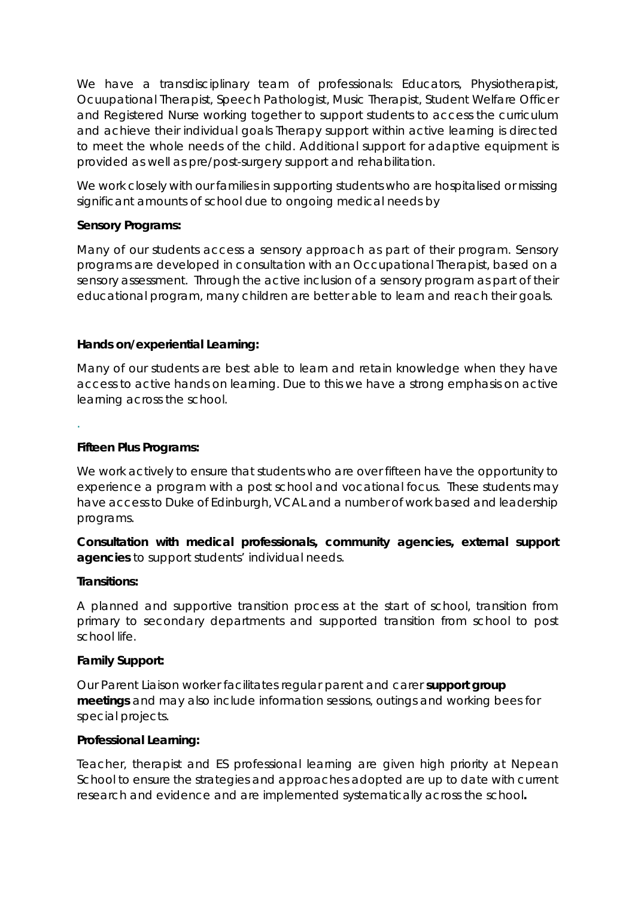We have a transdisciplinary team of professionals: Educators, Physiotherapist, Ocuupational Therapist, Speech Pathologist, Music Therapist, Student Welfare Officer and Registered Nurse working together to support students to access the curriculum and achieve their individual goals Therapy support within active learning is directed to meet the whole needs of the child. Additional support for adaptive equipment is provided as well as pre/post-surgery support and rehabilitation.

We work closely with our families in supporting students who are hospitalised or missing significant amounts of school due to ongoing medical needs by

#### **Sensory Programs:**

Many of our students access a sensory approach as part of their program. Sensory programs are developed in consultation with an Occupational Therapist, based on a sensory assessment. Through the active inclusion of a sensory program as part of their educational program, many children are better able to learn and reach their goals.

#### **Hands on/experiential Learning:**

Many of our students are best able to learn and retain knowledge when they have access to active hands on learning. Due to this we have a strong emphasis on active learning across the school.

#### **Fifteen Plus Programs:**

We work actively to ensure that students who are over fifteen have the opportunity to experience a program with a post school and vocational focus. These students may have access to Duke of Edinburgh, VCAL and a number of work based and leadership programs.

**Consultation with medical professionals, community agencies, external support agencies** to support students' individual needs.

#### **Transitions:**

.

A planned and supportive transition process at the start of school, transition from primary to secondary departments and supported transition from school to post school life.

#### **Family Support:**

Our Parent Liaison worker facilitates regular parent and carer *support group meetings* and may also include information sessions, outings and working bees for special projects.

#### **Professional Learning:**

Teacher, therapist and ES professional learning are given high priority at Nepean School to ensure the strategies and approaches adopted are up to date with current research and evidence and are implemented systematically across the school**.**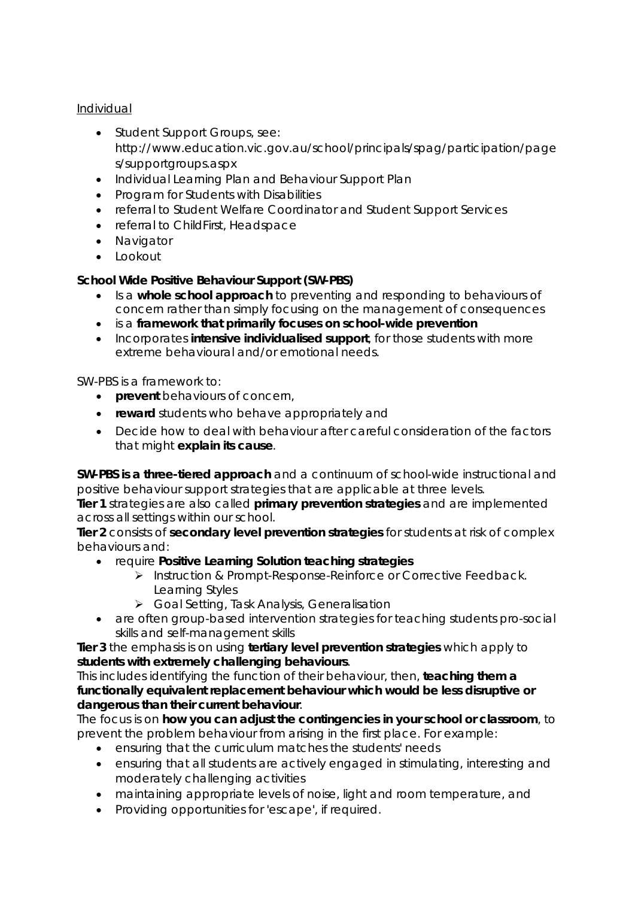## *Individual*

- *Student Support Groups, see: http://www.education.vic.gov.au/school/principals/spag/participation/page s/supportgroups.aspx*
- *Individual Learning Plan and Behaviour Support Plan*
- *Program for Students with Disabilities*
- *referral to Student Welfare Coordinator and Student Support Services*
- *referral to ChildFirst, Headspace*
- *Navigator*
- *Lookout*

# **School Wide Positive Behaviour Support (SW-PBS)**

- Is a *whole school approach* to preventing and responding to behaviours of concern rather than simply focusing on the management of consequences
- is a *framework that primarily focuses on school-wide prevention*
- Incorporates *intensive individualised support,* for those students with more extreme behavioural and/or emotional needs.

## SW-PBS is a framework to:

- **prevent** behaviours of concern,
- **reward** students who behave appropriately and
- Decide how to deal with behaviour after careful consideration of the factors that might **explain its cause**.

**SW-PBS is a three-tiered approach** and a continuum of school-wide instructional and positive behaviour support strategies that are applicable at three levels.

**Tier 1** strategies are also called **primary prevention strategies** and are implemented across all settings within our school.

**Tier 2** consists of **secondary level prevention strategies** for students at risk of complex behaviours and:

- require **Positive Learning Solution teaching strategies**
	- > Instruction & Prompt-Response-Reinforce or Corrective Feedback. Learning Styles
	- ▶ Goal Setting, Task Analysis, Generalisation
- are often group-based intervention strategies for teaching students pro-social skills and self-management skills

**Tier 3** the emphasis is on using **tertiary level prevention strategies** which apply to **students with extremely challenging behaviours**.

This includes identifying the function of their behaviour, then, *teaching them a functionally equivalent replacement behaviour which would be less disruptive or dangerous than their current behaviour*.

The focus is on **how you can adjust the contingencies in your school or classroom**, to prevent the problem behaviour from arising in the first place. For example:

- ensuring that the curriculum matches the students' needs
- ensuring that all students are actively engaged in stimulating, interesting and moderately challenging activities
- maintaining appropriate levels of noise, light and room temperature, and
- Providing opportunities for 'escape', if required.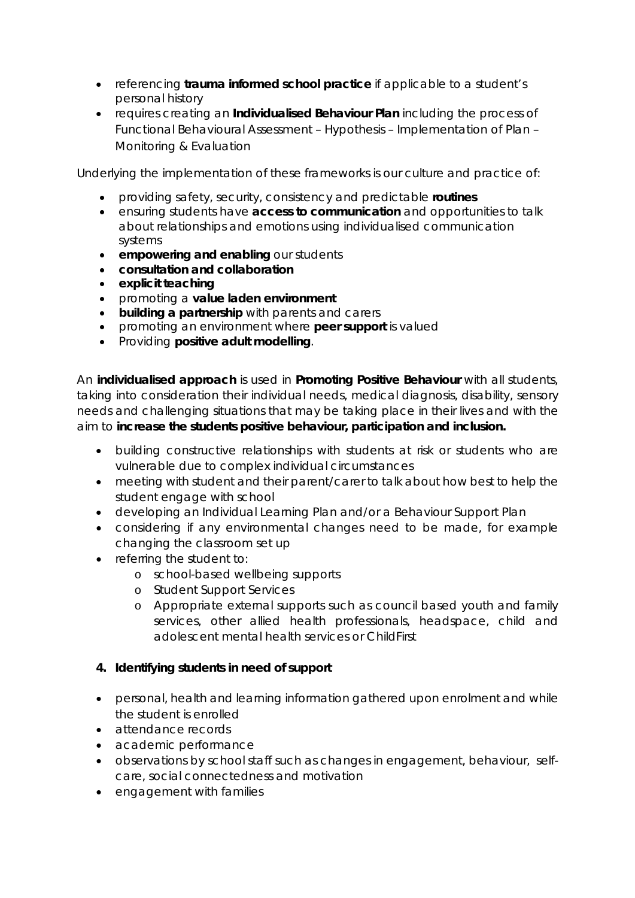- referencing **trauma informed school practice** if applicable to a student's personal history
- requires creating an **Individualised Behaviour Plan** including the process of Functional Behavioural Assessment – Hypothesis – Implementation of Plan – Monitoring & Evaluation

Underlying the implementation of these frameworks is our culture and practice of:

- providing safety, security, consistency and predictable **routines**
- ensuring students have **access to communication** and opportunities to talk about relationships and emotions using individualised communication systems
- **empowering and enabling** our students
- **consultation and collaboration**
- **explicit teaching**
- promoting a **value laden environment**
- **building a partnership** with parents and carers
- promoting an environment where **peer support** is valued
- Providing **positive adult modelling**.

An **individualised approach** is used in **Promoting Positive Behaviour** with all students, taking into consideration their individual needs, medical diagnosis, disability, sensory needs and challenging situations that may be taking place in their lives and with the aim to **increase the students positive behaviour, participation and inclusion.**

- building constructive relationships with students at risk or students who are vulnerable due to complex individual circumstances
- meeting with student and their parent/carer to talk about how best to help the student engage with school
- developing an Individual Learning Plan and/or a Behaviour Support Plan
- considering if any environmental changes need to be made, for example changing the classroom set up
- referring the student to:
	- o school-based wellbeing supports
	- o Student Support Services
	- o Appropriate external supports such as council based youth and family services, other allied health professionals, headspace, child and adolescent mental health services or ChildFirst

## **4. Identifying students in need of support**

- personal, health and learning information gathered upon enrolment and while the student is enrolled
- attendance records
- academic performance
- observations by school staff such as changes in engagement, behaviour, selfcare, social connectedness and motivation
- engagement with families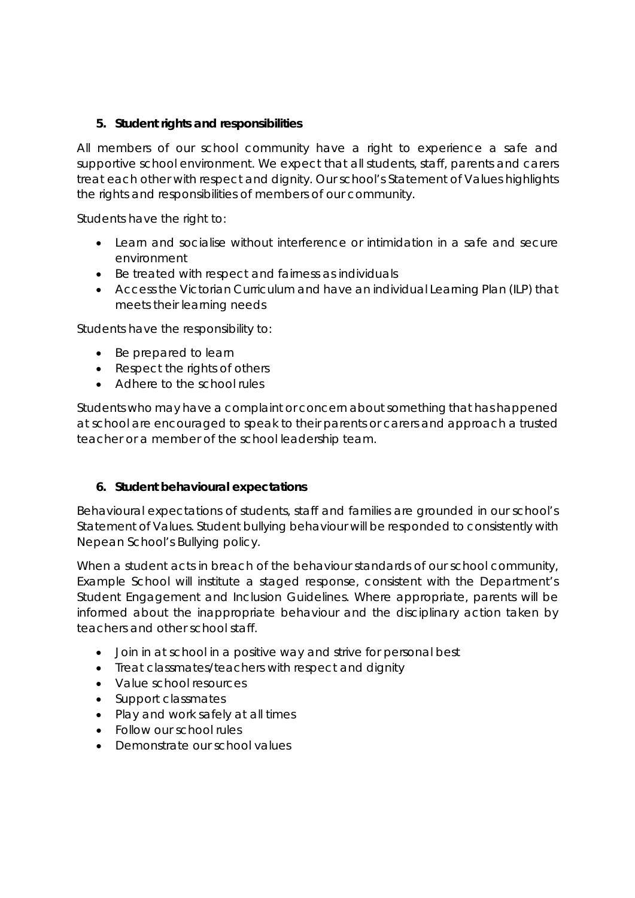## **5. Student rights and responsibilities**

All members of our school community have a right to experience a safe and supportive school environment. We expect that all students, staff, parents and carers treat each other with respect and dignity. Our school's Statement of Values highlights the rights and responsibilities of members of our community.

Students have the right to:

- Learn and socialise without interference or intimidation in a safe and secure environment
- Be treated with respect and fairness as individuals
- Access the Victorian Curriculum and have an individual Learning Plan (ILP) that meets their learning needs

Students have the responsibility to:

- Be prepared to learn
- Respect the rights of others
- Adhere to the school rules

Students who may have a complaint or concern about something that has happened at school are encouraged to speak to their parents or carers and approach a trusted teacher or a member of the school leadership team.

## **6. Student behavioural expectations**

*Behavioural expectations of students, staff and families are grounded in our school's Statement of Values. Student bullying behaviour will be responded to consistently with Nepean School's Bullying policy.* 

*When a student acts in breach of the behaviour standards of our school community, Example School will institute a staged response, consistent with the Department's Student Engagement and Inclusion Guidelines. Where appropriate, parents will be informed about the inappropriate behaviour and the disciplinary action taken by teachers and other school staff.* 

- *Join in at school in a positive way and strive for personal best*
- *Treat classmates/teachers with respect and dignity*
- *Value school resources*
- *Support classmates*
- *Play and work safely at all times*
- *Follow our school rules*
- *Demonstrate our school values*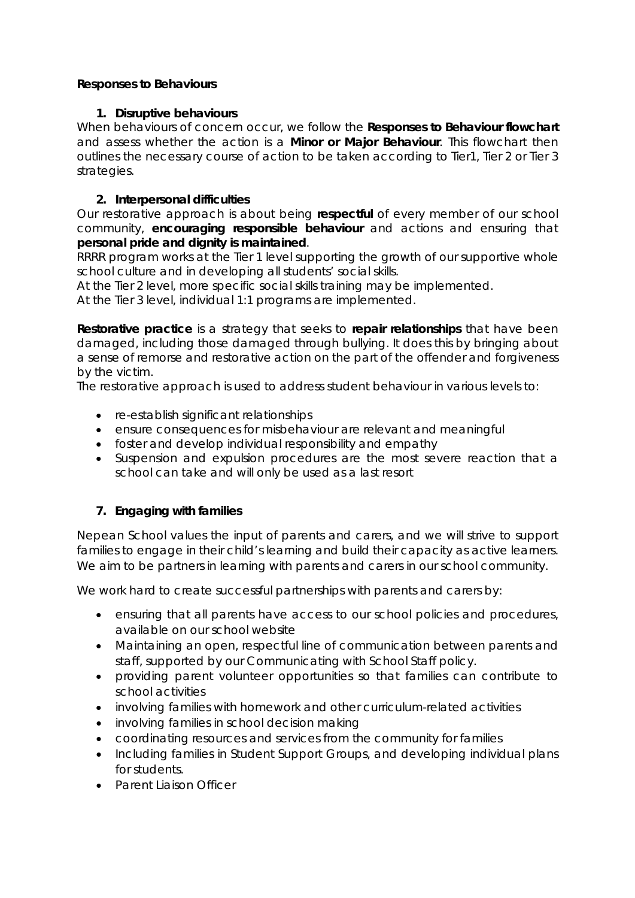## **Responses to Behaviours**

### **1. Disruptive behaviours**

When behaviours of concern occur, we follow the **Responses to Behaviour flowchart** and assess whether the action is a **Minor or Major Behaviour**. This flowchart then outlines the necessary course of action to be taken according to Tier1, Tier 2 or Tier 3 strategies.

### **2. Interpersonal difficulties**

Our restorative approach is about being **respectful** of every member of our school community, **encouraging responsible behaviour** and actions and ensuring that **personal pride and dignity is maintained**.

RRRR program works at the Tier 1 level supporting the growth of our supportive whole school culture and in developing all students' social skills.

At the Tier 2 level, more specific social skills training may be implemented.

At the Tier 3 level, individual 1:1 programs are implemented.

**Restorative practice** is a strategy that seeks to **repair relationships** that have been damaged, including those damaged through bullying. It does this by bringing about a sense of remorse and restorative action on the part of the offender and forgiveness by the victim.

The restorative approach is used to address student behaviour in various levels to:

- re-establish significant relationships
- ensure consequences for misbehaviour are relevant and meaningful
- foster and develop individual responsibility and empathy
- Suspension and expulsion procedures are the most severe reaction that a school can take and will only be used as a last resort

## **7. Engaging with families**

Nepean School values the input of parents and carers, and we will strive to support families to engage in their child's learning and build their capacity as active learners. We aim to be partners in learning with parents and carers in our school community.

We work hard to create successful partnerships with parents and carers by:

- ensuring that all parents have access to our school policies and procedures, available on our school website
- Maintaining an open, respectful line of communication between parents and staff, supported by our Communicating with School Staff policy.
- providing parent volunteer opportunities so that families can contribute to school activities
- involving families with homework and other curriculum-related activities
- involving families in school decision making
- coordinating resources and services from the community for families
- Including families in Student Support Groups, and developing individual plans for students.
- Parent Liaison Officer